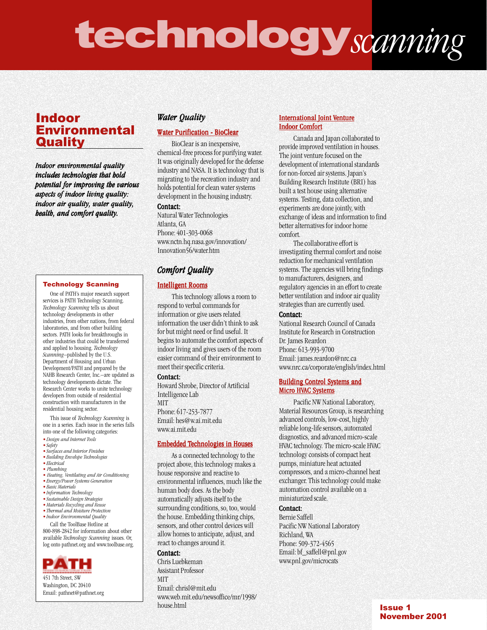# technology*scanning*

# Indoor Environmental **Quality**

*Indoor environmental quality includes technologies that hold potential for improving the various aspects of indoor living quality: living quality: indoor air quality, water quality, health, and comfort quality.*

## Technology Scanning

One of PATH's major research support services is PATH Technology Scanning. *Technology Scanning* tells us about technology developments in other industries, from other nations, from federal laboratories, and from other building sectors. PATH looks for breakthroughs in other industries that could be transferred and applied to housing. *Technology Scanning*–published by the U.S. Department of Housing and Urban Development/PATH and prepared by the NAHB Research Center, Inc.–are updated as technology developments dictate. The Research Center works to unite technology developers from outside of residential construction with manufacturers in the residential housing sector.

This issue of *Technology Scanning* is one in a series. Each issue in the series falls into one of the following categories:

- *• Design and Internet Tools*
- *• Safety*
- *• Surfaces and Interior Finishes • Building Envelope Technologies*
- *• Electrical*
- *Plumbing*
- *Heating, Ventilating and Air Conditioning*
- *• Energy/Power Systems Generation*
- *• Basic Materials*
- *• Information Technology • Sustainable Design Strategies*
- *•Materials Recycling and Reuse*
- *• Thermal and Moisture Protection • Indoor Environmental Quality*
- Call the ToolBase Hotline at

800-898-2842 for information about other available *Technology Scanning* issues. Or, log onto pathnet.org and www.toolbase.org.



451 7th Street, SW Washington, DC 20410 Email: pathnet@pathnet.org

## *Water Quality*

## **Water Purification - BioClear**

BioClear is an inexpensive, chemical-free process for purifying water. It was originally developed for the defense industry and NASA. It is technology that is migrating to the recreation industry and holds potential for clean water systems development in the housing industry.

#### Contact:

Natural Water Technologies Atlanta, GA Phone: 401-303-0068 www.nctn.hq.nasa.gov/innovation/ Innovation56/water.htm

## *Comfort Quality Quality*

### Intelligent Rooms

This technology allows a room to respond to verbal commands for information or give users related information the user didn't think to ask for but might need or find useful. It begins to automate the comfort aspects of indoor living and gives users of the room easier command of their environment to meet their specific criteria.

#### Contact:

Howard Shrobe, Director of Artificial Intelligence Lab

MIT Phone: 617-253-7877 Email: hes@w.ai.mit.edu www.ai.mit.edu

## **Embedded Technologies in Houses**

As a connected technology to the project above, this technology makes a house responsive and reactive to environmental influences, much like the human body does. As the body automatically adjusts itself to the surrounding conditions, so, too, would the house. Embedding thinking chips, sensors, and other control devices will allow homes to anticipate, adjust, and react to changes around it.

## Contact:

Chris Luebkeman Assistant Professor **MIT** Email: chrisl@mit.edu www.web.mit.edu/newsoffice/mr/1998/ house.html

## International Joint Venture **Indoor Comfort**

Canada and Japan collaborated to provide improved ventilation in houses. The joint venture focused on the development of international standards for non-forced air systems. Japan's Building Research Institute (BRI) has built a test house using alternative systems. Testing, data collection, and experiments are done jointly, with exchange of ideas and information to find better alternatives for indoor home comfort.

The collaborative effort is investigating thermal comfort and noise reduction for mechanical ventilation systems. The agencies will bring findings to manufacturers, designers, and regulatory agencies in an effort to create better ventilation and indoor air quality strategies than are currently used.

### Contact:

National Research Council of Canada Institute for Research in Construction Dr. James Reardon Phone: 613-993-9700 Email: james.reardon@nrc.ca www.nrc.ca/corporate/english/index.html

## Building Control Systems and **Micro HVAC Systems**

Pacific NW National Laboratory, Material Resources Group, is researching advanced controls, low-cost, highly reliable long-life sensors, automated diagnostics, and advanced micro-scale HVAC technology. The micro-scale HVAC technology consists of compact heat pumps, miniature heat actuated compressors, and a micro-channel heat exchanger. This technology could make automation control available on a miniaturized scale.

## Contact:

Bernie Saffell Pacific NW National Laboratory Richland, WA Phone: 509-372-4565 Email: bf\_saffell@pnl.gov www.pnl.gov/microcats